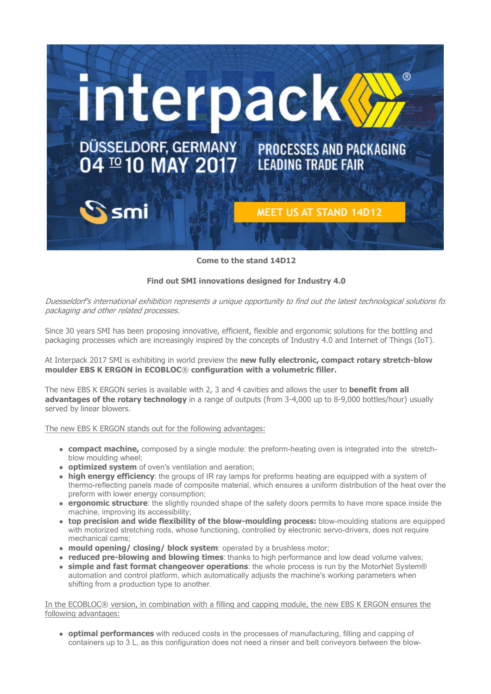

Come to the stand 14D12

## Find out SMI innovations designed for Industry 4.0

Duesseldorf's international exhibition represents a unique opportunity to find out the latest technological solutions for packaging and other related processes.

Since 30 years SMI has been proposing innovative, efficient, flexible and ergonomic solutions for the bottling and packaging processes which are increasingly inspired by the concepts of Industry 4.0 and Internet of Things (IoT).

At Interpack 2017 SMI is exhibiting in world preview the new fully electronic, compact rotary stretch-blow moulder EBS K ERGON in ECOBLOC® configuration with a volumetric filler.

The new EBS K ERGON series is available with 2, 3 and 4 cavities and allows the user to **benefit from all** advantages of the rotary technology in a range of outputs (from 3-4,000 up to 8-9,000 bottles/hour) usually served by linear blowers.

The new EBS K ERGON stands out for the following advantages:

- compact machine, composed by a single module: the preform-heating oven is integrated into the stretchblow moulding wheel;
- **optimized system** of oven's ventilation and aeration:
- high energy efficiency: the groups of IR ray lamps for preforms heating are equipped with a system of thermo-reflecting panels made of composite material, which ensures a uniform distribution of the heat over the preform with lower energy consumption;
- **ergonomic structure**: the slightly rounded shape of the safety doors permits to have more space inside the machine, improving its accessibility;
- top precision and wide flexibility of the blow-moulding process: blow-moulding stations are equipped with motorized stretching rods, whose functioning, controlled by electronic servo-drivers, does not require mechanical cams;
- mould opening/ closing/ block system: operated by a brushless motor;
- reduced pre-blowing and blowing times: thanks to high performance and low dead volume valves;
- simple and fast format changeover operations: the whole process is run by the MotorNet System® automation and control platform, which automatically adjusts the machine's working parameters when shifting from a production type to another.

In the ECOBLOC® version, in combination with a filling and capping module, the new EBS K ERGON ensures the following advantages:

• optimal performances with reduced costs in the processes of manufacturing, filling and capping of containers up to 3 L, as this configuration does not need a rinser and belt conveyors between the blow